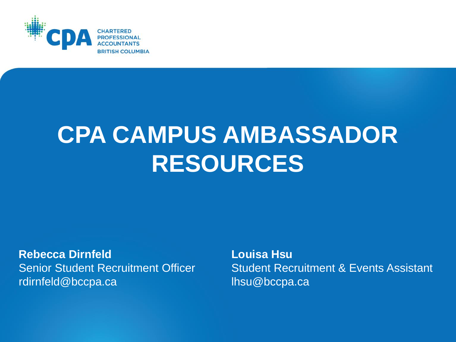

# **CPA CAMPUS AMBASSADOR RESOURCES**

**Rebecca Dirnfeld** Senior Student Recruitment Officer rdirnfeld@bccpa.ca

**Louisa Hsu** Student Recruitment & Events Assistant lhsu@bccpa.ca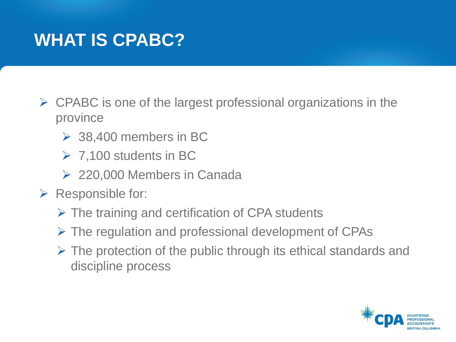### **WHAT IS CPABC?**

- $\triangleright$  CPABC is one of the largest professional organizations in the province
	- $\geq$  38,400 members in BC
	- $\triangleright$  7,100 students in BC
	- **► 220,000 Members in Canada**
- $\triangleright$  Responsible for:
	- $\triangleright$  The training and certification of CPA students
	- $\triangleright$  The regulation and professional development of CPAs
	- $\triangleright$  The protection of the public through its ethical standards and discipline process

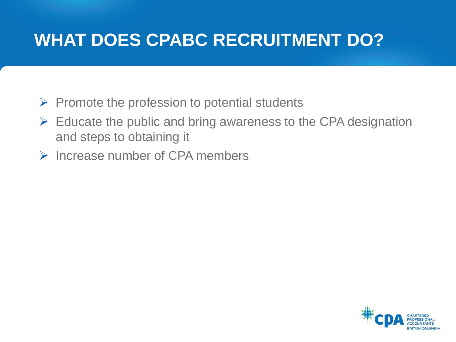### **WHAT DOES CPABC RECRUITMENT DO?**

- $\triangleright$  Promote the profession to potential students
- $\triangleright$  Educate the public and bring awareness to the CPA designation and steps to obtaining it
- $\triangleright$  Increase number of CPA members

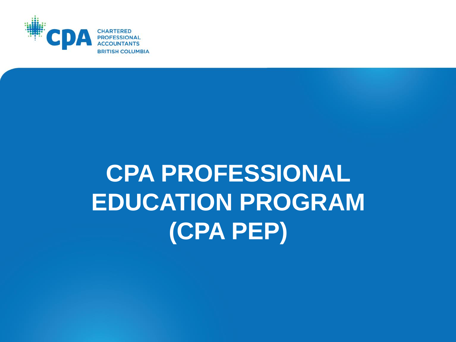

# **CPA PROFESSIONAL EDUCATION PROGRAM (CPA PEP)**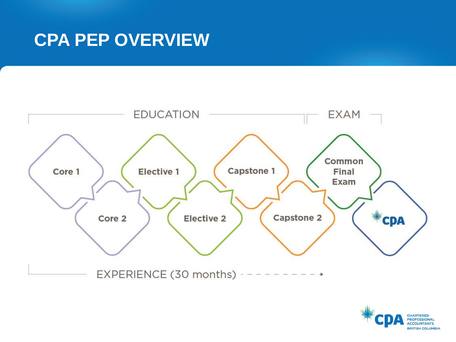### **CPA PEP OVERVIEW**



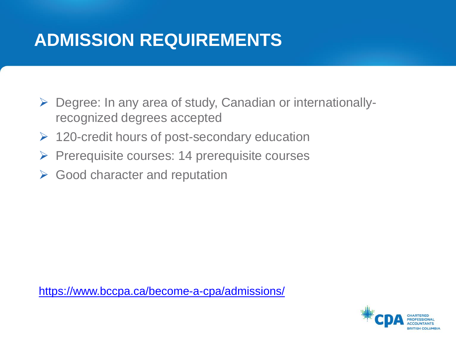### **ADMISSION REQUIREMENTS**

- Degree: In any area of study, Canadian or internationallyrecognized degrees accepted
- $\triangleright$  120-credit hours of post-secondary education
- $\triangleright$  Prerequisite courses: 14 prerequisite courses
- $\triangleright$  Good character and reputation

<https://www.bccpa.ca/become-a-cpa/admissions/>

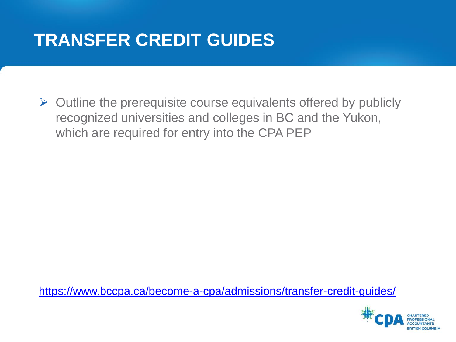### **TRANSFER CREDIT GUIDES**

 $\triangleright$  Outline the prerequisite course equivalents offered by publicly recognized universities and colleges in BC and the Yukon, which are required for entry into the CPA PEP

<https://www.bccpa.ca/become-a-cpa/admissions/transfer-credit-guides/>

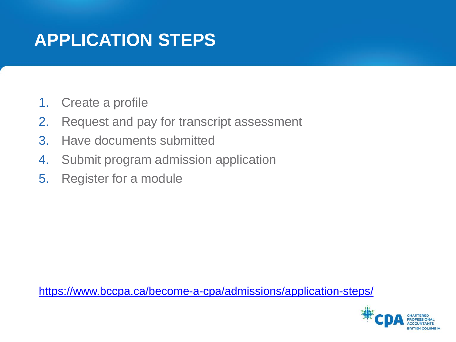### **APPLICATION STEPS**

- 1. Create a profile
- 2. Request and pay for transcript assessment
- 3. Have documents submitted
- 4. Submit program admission application
- 5. Register for a module

<https://www.bccpa.ca/become-a-cpa/admissions/application-steps/>

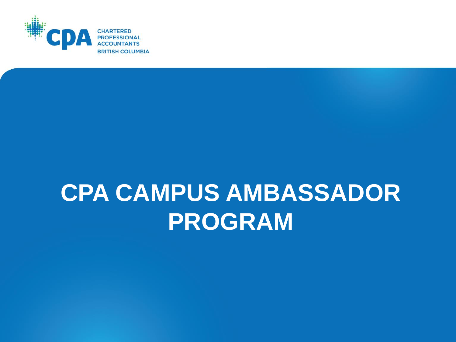

## **CPA CAMPUS AMBASSADOR PROGRAM**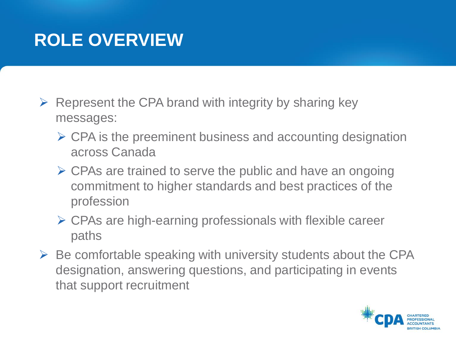### **ROLE OVERVIEW**

- $\triangleright$  Represent the CPA brand with integrity by sharing key messages:
	- $\triangleright$  CPA is the preeminent business and accounting designation across Canada
	- $\triangleright$  CPAs are trained to serve the public and have an ongoing commitment to higher standards and best practices of the profession
	- $\triangleright$  CPAs are high-earning professionals with flexible career paths
- $\triangleright$  Be comfortable speaking with university students about the CPA designation, answering questions, and participating in events that support recruitment

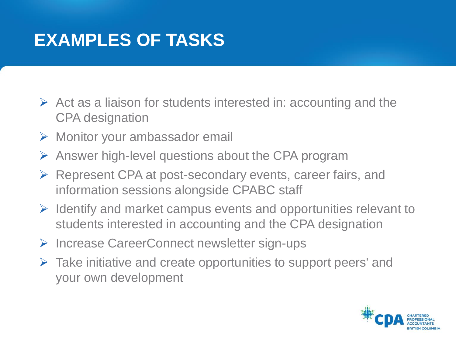### **EXAMPLES OF TASKS**

- $\triangleright$  Act as a liaison for students interested in: accounting and the CPA designation
- Monitor your ambassador email
- $\triangleright$  Answer high-level questions about the CPA program
- ▶ Represent CPA at post-secondary events, career fairs, and information sessions alongside CPABC staff
- $\triangleright$  Identify and market campus events and opportunities relevant to students interested in accounting and the CPA designation
- **► Increase CareerConnect newsletter sign-ups**
- $\triangleright$  Take initiative and create opportunities to support peers' and your own development

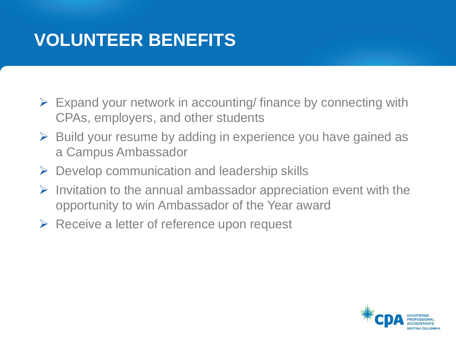### **VOLUNTEER BENEFITS**

- $\triangleright$  Expand your network in accounting/ finance by connecting with CPAs, employers, and other students
- $\triangleright$  Build your resume by adding in experience you have gained as a Campus Ambassador
- $\triangleright$  Develop communication and leadership skills
- $\triangleright$  Invitation to the annual ambassador appreciation event with the opportunity to win Ambassador of the Year award
- $\triangleright$  Receive a letter of reference upon request

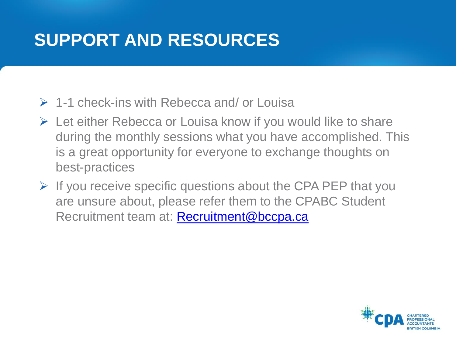### **SUPPORT AND RESOURCES**

- $\geq 1$ -1 check-ins with Rebecca and/ or Louisa
- $\triangleright$  Let either Rebecca or Louisa know if you would like to share during the monthly sessions what you have accomplished. This is a great opportunity for everyone to exchange thoughts on best-practices
- $\triangleright$  If you receive specific questions about the CPA PEP that you are unsure about, please refer them to the CPABC Student Recruitment team at: [Recruitment@bccpa.ca](mailto:Recruitment@bccpa.ca)

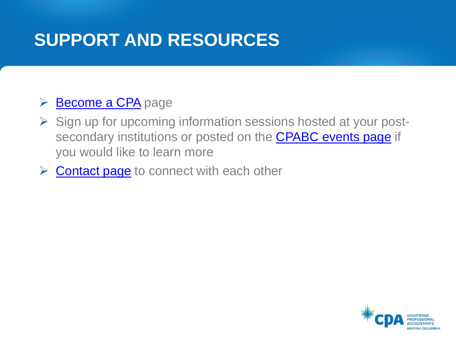### **SUPPORT AND RESOURCES**

#### [Become a CPA](https://www.bccpa.ca/become-a-cpa/) page

- $\triangleright$  Sign up for upcoming information sessions hosted at your postsecondary institutions or posted on the **[CPABC events page](https://www.bccpa.ca/become-a-cpa/events/#sort=date&asc=true)** if you would like to learn more
- $\triangleright$  [Contact page](https://www.bccpa.ca/become-a-cpa/get-involved/cpa-ambassadors/cpa-campus-ambassadors) to connect with each other

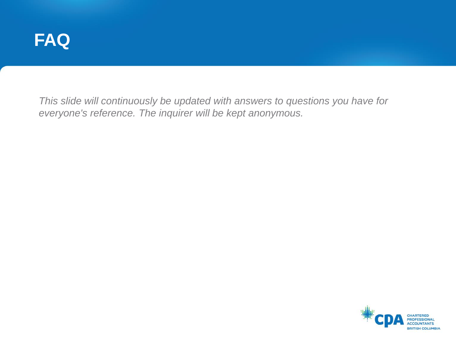

*This slide will continuously be updated with answers to questions you have for everyone's reference. The inquirer will be kept anonymous.*